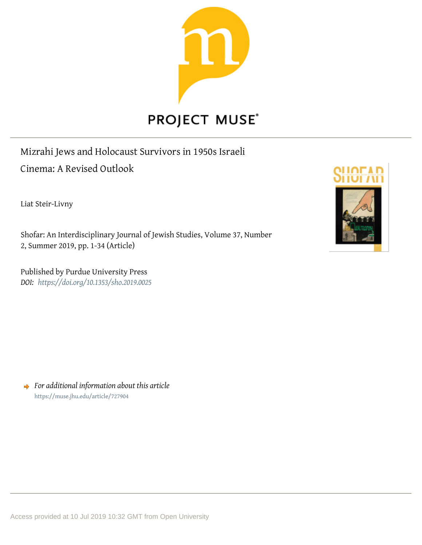

# **PROJECT MUSE®**

Mizrahi Jews and Holocaust Survivors in 1950s Israeli Cinema: A Revised Outlook

Liat Steir-Livny

Shofar: An Interdisciplinary Journal of Jewish Studies, Volume 37, Number 2, Summer 2019, pp. 1-34 (Article)

Published by Purdue University Press *DOI: <https://doi.org/10.1353/sho.2019.0025>*



*For additional information about this article* <https://muse.jhu.edu/article/727904>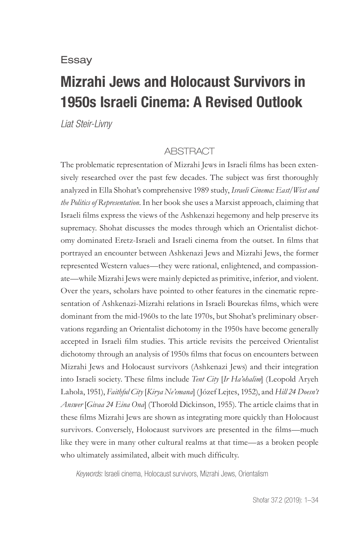#### Essay

# Mizrahi Jews and Holocaust Survivors in 1950s Israeli Cinema: A Revised Outlook

*Liat Steir-Livny*

#### **ABSTRACT**

The problematic representation of Mizrahi Jews in Israeli films has been extensively researched over the past few decades. The subject was first thoroughly analyzed in Ella Shohat's comprehensive 1989 study, *Israeli Cinema: East/West and the Politics of Representation*. In her book she uses a Marxist approach, claiming that Israeli films express the views of the Ashkenazi hegemony and help preserve its supremacy. Shohat discusses the modes through which an Orientalist dichotomy dominated Eretz-Israeli and Israeli cinema from the outset. In films that portrayed an encounter between Ashkenazi Jews and Mizrahi Jews, the former represented Western values—they were rational, enlightened, and compassionate—while Mizrahi Jews were mainly depicted as primitive, inferior, and violent. Over the years, scholars have pointed to other features in the cinematic representation of Ashkenazi-Mizrahi relations in Israeli Bourekas films, which were dominant from the mid-1960s to the late 1970s, but Shohat's preliminary observations regarding an Orientalist dichotomy in the 1950s have become generally accepted in Israeli film studies. This article revisits the perceived Orientalist dichotomy through an analysis of 1950s films that focus on encounters between Mizrahi Jews and Holocaust survivors (Ashkenazi Jews) and their integration into Israeli society. These films include *Tent City* [*Ir Ha'ohalim*] (Leopold Aryeh Lahola, 1951), *Faithful City* [*Kirya Ne'emana*] (Józef Lejtes, 1952), and *Hill 24 Doesn't Answer* [*Givaa 24 Eina Ona*] (Thorold Dickinson, 1955). The article claims that in these films Mizrahi Jews are shown as integrating more quickly than Holocaust survivors. Conversely, Holocaust survivors are presented in the films—much like they were in many other cultural realms at that time—as a broken people who ultimately assimilated, albeit with much difficulty.

*Keywords:* Israeli cinema, Holocaust survivors, Mizrahi Jews, Orientalism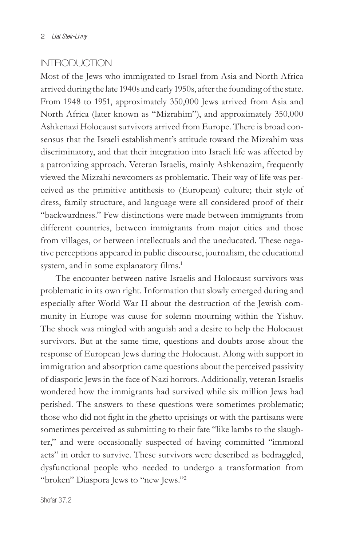## INTRODUCTION

Most of the Jews who immigrated to Israel from Asia and North Africa arrived during the late 1940s and early 1950s, after the founding of the state. From 1948 to 1951, approximately 350,000 Jews arrived from Asia and North Africa (later known as "Mizrahim"), and approximately 350,000 Ashkenazi Holocaust survivors arrived from Europe. There is broad consensus that the Israeli establishment's attitude toward the Mizrahim was discriminatory, and that their integration into Israeli life was affected by a patronizing approach. Veteran Israelis, mainly Ashkenazim, frequently viewed the Mizrahi newcomers as problematic. Their way of life was perceived as the primitive antithesis to (European) culture; their style of dress, family structure, and language were all considered proof of their "backwardness." Few distinctions were made between immigrants from different countries, between immigrants from major cities and those from villages, or between intellectuals and the uneducated. These negative perceptions appeared in public discourse, journalism, the educational system, and in some explanatory films.<sup>1</sup>

The encounter between native Israelis and Holocaust survivors was problematic in its own right. Information that slowly emerged during and especially after World War II about the destruction of the Jewish community in Europe was cause for solemn mourning within the Yishuv. The shock was mingled with anguish and a desire to help the Holocaust survivors. But at the same time, questions and doubts arose about the response of European Jews during the Holocaust. Along with support in immigration and absorption came questions about the perceived passivity of diasporic Jews in the face of Nazi horrors. Additionally, veteran Israelis wondered how the immigrants had survived while six million Jews had perished. The answers to these questions were sometimes problematic; those who did not fight in the ghetto uprisings or with the partisans were sometimes perceived as submitting to their fate "like lambs to the slaughter," and were occasionally suspected of having committed "immoral acts" in order to survive. These survivors were described as bedraggled, dysfunctional people who needed to undergo a transformation from "broken" Diaspora Jews to "new Jews."<sup>2</sup>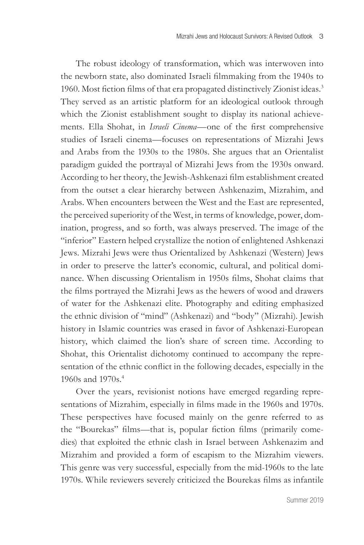The robust ideology of transformation, which was interwoven into the newborn state, also dominated Israeli filmmaking from the 1940s to 1960. Most fiction films of that era propagated distinctively Zionist ideas.<sup>3</sup> They served as an artistic platform for an ideological outlook through which the Zionist establishment sought to display its national achievements. Ella Shohat, in *Israeli Cinema*—one of the first comprehensive studies of Israeli cinema—focuses on representations of Mizrahi Jews and Arabs from the 1930s to the 1980s. She argues that an Orientalist paradigm guided the portrayal of Mizrahi Jews from the 1930s onward. According to her theory, the Jewish-Ashkenazi film establishment created from the outset a clear hierarchy between Ashkenazim, Mizrahim, and Arabs. When encounters between the West and the East are represented, the perceived superiority of the West, in terms of knowledge, power, domination, progress, and so forth, was always preserved. The image of the "inferior" Eastern helped crystallize the notion of enlightened Ashkenazi Jews. Mizrahi Jews were thus Orientalized by Ashkenazi (Western) Jews in order to preserve the latter's economic, cultural, and political dominance. When discussing Orientalism in 1950s films, Shohat claims that the films portrayed the Mizrahi Jews as the hewers of wood and drawers of water for the Ashkenazi elite. Photography and editing emphasized the ethnic division of "mind" (Ashkenazi) and "body" (Mizrahi). Jewish history in Islamic countries was erased in favor of Ashkenazi-European history, which claimed the lion's share of screen time. According to Shohat, this Orientalist dichotomy continued to accompany the representation of the ethnic conflict in the following decades, especially in the 1960s and 1970s.4

Over the years, revisionist notions have emerged regarding representations of Mizrahim, especially in films made in the 1960s and 1970s. These perspectives have focused mainly on the genre referred to as the "Bourekas" films—that is, popular fiction films (primarily comedies) that exploited the ethnic clash in Israel between Ashkenazim and Mizrahim and provided a form of escapism to the Mizrahim viewers. This genre was very successful, especially from the mid-1960s to the late 1970s. While reviewers severely criticized the Bourekas films as infantile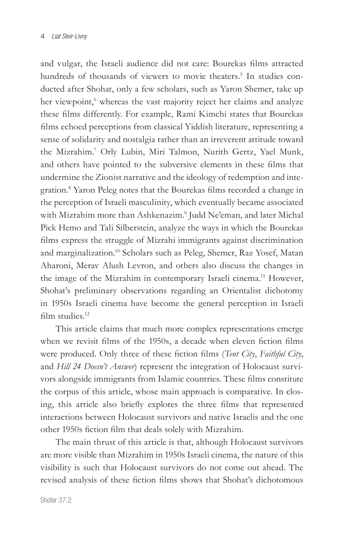and vulgar, the Israeli audience did not care: Bourekas films attracted hundreds of thousands of viewers to movie theaters.<sup>5</sup> In studies conducted after Shohat, only a few scholars, such as Yaron Shemer, take up her viewpoint,<sup>6</sup> whereas the vast majority reject her claims and analyze these films differently. For example, Rami Kimchi states that Bourekas films echoed perceptions from classical Yiddish literature, representing a sense of solidarity and nostalgia rather than an irreverent attitude toward the Mizrahim.7 Orly Lubin, Miri Talmon, Nurith Gertz, Yael Munk, and others have pointed to the subversive elements in these films that undermine the Zionist narrative and the ideology of redemption and integration.8 Yaron Peleg notes that the Bourekas films recorded a change in the perception of Israeli masculinity, which eventually became associated with Mizrahim more than Ashkenazim.<sup>9</sup> Judd Ne'eman, and later Michal Pick Hemo and Tali Silberstein, analyze the ways in which the Bourekas films express the struggle of Mizrahi immigrants against discrimination and marginalization.10 Scholars such as Peleg, Shemer, Raz Yosef, Matan Aharoni, Merav Alush Levron, and others also discuss the changes in the image of the Mizrahim in contemporary Israeli cinema.11 However, Shohat's preliminary observations regarding an Orientalist dichotomy in 1950s Israeli cinema have become the general perception in Israeli film studies<sup>12</sup>

This article claims that much more complex representations emerge when we revisit films of the 1950s, a decade when eleven fiction films were produced. Only three of these fiction films (*Tent City*, *Faithful City*, and *Hill 24 Doesn't Answer*) represent the integration of Holocaust survivors alongside immigrants from Islamic countries. These films constitute the corpus of this article, whose main approach is comparative. In closing, this article also briefly explores the three films that represented interactions between Holocaust survivors and native Israelis and the one other 1950s fiction film that deals solely with Mizrahim.

The main thrust of this article is that, although Holocaust survivors are more visible than Mizrahim in 1950s Israeli cinema, the nature of this visibility is such that Holocaust survivors do not come out ahead. The revised analysis of these fiction films shows that Shohat's dichotomous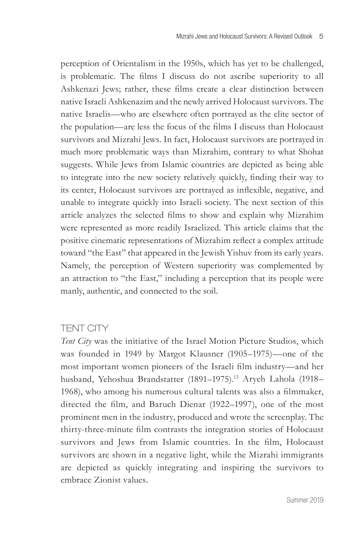perception of Orientalism in the 1950s, which has yet to be challenged, is problematic. The films I discuss do not ascribe superiority to all Ashkenazi Jews; rather, these films create a clear distinction between native Israeli Ashkenazim and the newly arrived Holocaust survivors. The native Israelis—who are elsewhere often portrayed as the elite sector of the population—are less the focus of the films I discuss than Holocaust survivors and Mizrahi Jews. In fact, Holocaust survivors are portrayed in much more problematic ways than Mizrahim, contrary to what Shohat suggests. While Jews from Islamic countries are depicted as being able to integrate into the new society relatively quickly, finding their way to its center, Holocaust survivors are portrayed as inflexible, negative, and unable to integrate quickly into Israeli society. The next section of this article analyzes the selected films to show and explain why Mizrahim were represented as more readily Israelized. This article claims that the positive cinematic representations of Mizrahim reflect a complex attitude toward "the East" that appeared in the Jewish Yishuv from its early years. Namely, the perception of Western superiority was complemented by an attraction to "the East," including a perception that its people were manly, authentic, and connected to the soil.

#### TENT CITY

*Tent City* was the initiative of the Israel Motion Picture Studios, which was founded in 1949 by Margot Klausner (1905–1975)—one of the most important women pioneers of the Israeli film industry—and her husband, Yehoshua Brandstatter (1891–1975).<sup>13</sup> Aryeh Lahola (1918– 1968), who among his numerous cultural talents was also a filmmaker, directed the film, and Baruch Dienar (1922–1997), one of the most prominent men in the industry, produced and wrote the screenplay. The thirty-three-minute film contrasts the integration stories of Holocaust survivors and Jews from Islamic countries. In the film, Holocaust survivors are shown in a negative light, while the Mizrahi immigrants are depicted as quickly integrating and inspiring the survivors to embrace Zionist values.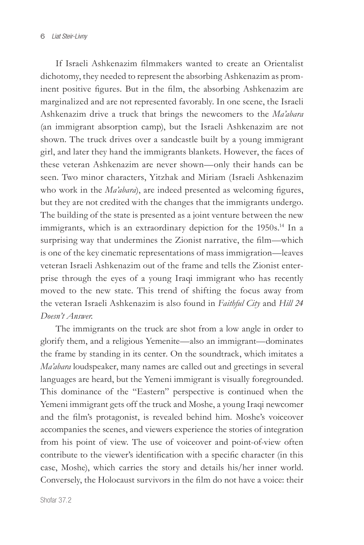If Israeli Ashkenazim filmmakers wanted to create an Orientalist dichotomy, they needed to represent the absorbing Ashkenazim as prominent positive figures. But in the film, the absorbing Ashkenazim are marginalized and are not represented favorably. In one scene, the Israeli Ashkenazim drive a truck that brings the newcomers to the *Ma'abara* (an immigrant absorption camp), but the Israeli Ashkenazim are not shown. The truck drives over a sandcastle built by a young immigrant girl, and later they hand the immigrants blankets. However, the faces of these veteran Ashkenazim are never shown—only their hands can be seen. Two minor characters, Yitzhak and Miriam (Israeli Ashkenazim who work in the *Ma'abara*), are indeed presented as welcoming figures, but they are not credited with the changes that the immigrants undergo. The building of the state is presented as a joint venture between the new immigrants, which is an extraordinary depiction for the 1950s.<sup>14</sup> In a surprising way that undermines the Zionist narrative, the film—which is one of the key cinematic representations of mass immigration—leaves veteran Israeli Ashkenazim out of the frame and tells the Zionist enterprise through the eyes of a young Iraqi immigrant who has recently moved to the new state. This trend of shifting the focus away from the veteran Israeli Ashkenazim is also found in *Faithful City* and *Hill 24 Doesn't Answer*.

The immigrants on the truck are shot from a low angle in order to glorify them, and a religious Yemenite—also an immigrant—dominates the frame by standing in its center. On the soundtrack, which imitates a *Ma'abara* loudspeaker, many names are called out and greetings in several languages are heard, but the Yemeni immigrant is visually foregrounded. This dominance of the "Eastern" perspective is continued when the Yemeni immigrant gets off the truck and Moshe, a young Iraqi newcomer and the film's protagonist, is revealed behind him. Moshe's voiceover accompanies the scenes, and viewers experience the stories of integration from his point of view. The use of voiceover and point-of-view often contribute to the viewer's identification with a specific character (in this case, Moshe), which carries the story and details his/her inner world. Conversely, the Holocaust survivors in the film do not have a voice: their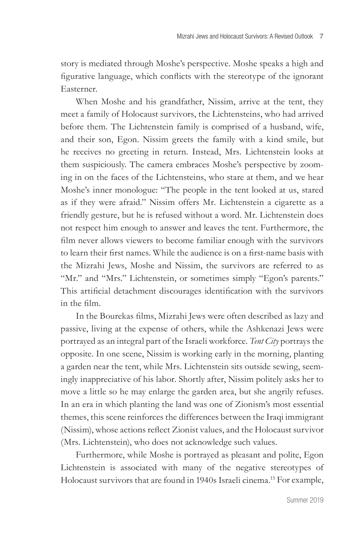story is mediated through Moshe's perspective. Moshe speaks a high and figurative language, which conflicts with the stereotype of the ignorant Easterner.

When Moshe and his grandfather, Nissim, arrive at the tent, they meet a family of Holocaust survivors, the Lichtensteins, who had arrived before them. The Lichtenstein family is comprised of a husband, wife, and their son, Egon. Nissim greets the family with a kind smile, but he receives no greeting in return. Instead, Mrs. Lichtenstein looks at them suspiciously. The camera embraces Moshe's perspective by zooming in on the faces of the Lichtensteins, who stare at them, and we hear Moshe's inner monologue: "The people in the tent looked at us, stared as if they were afraid." Nissim offers Mr. Lichtenstein a cigarette as a friendly gesture, but he is refused without a word. Mr. Lichtenstein does not respect him enough to answer and leaves the tent. Furthermore, the film never allows viewers to become familiar enough with the survivors to learn their first names. While the audience is on a first-name basis with the Mizrahi Jews, Moshe and Nissim, the survivors are referred to as "Mr." and "Mrs." Lichtenstein, or sometimes simply "Egon's parents." This artificial detachment discourages identification with the survivors in the film.

In the Bourekas films, Mizrahi Jews were often described as lazy and passive, living at the expense of others, while the Ashkenazi Jews were portrayed as an integral part of the Israeli workforce. *Tent City* portrays the opposite. In one scene, Nissim is working early in the morning, planting a garden near the tent, while Mrs. Lichtenstein sits outside sewing, seemingly inappreciative of his labor. Shortly after, Nissim politely asks her to move a little so he may enlarge the garden area, but she angrily refuses. In an era in which planting the land was one of Zionism's most essential themes, this scene reinforces the differences between the Iraqi immigrant (Nissim), whose actions reflect Zionist values, and the Holocaust survivor (Mrs. Lichtenstein), who does not acknowledge such values.

Furthermore, while Moshe is portrayed as pleasant and polite, Egon Lichtenstein is associated with many of the negative stereotypes of Holocaust survivors that are found in 1940s Israeli cinema.15 For example,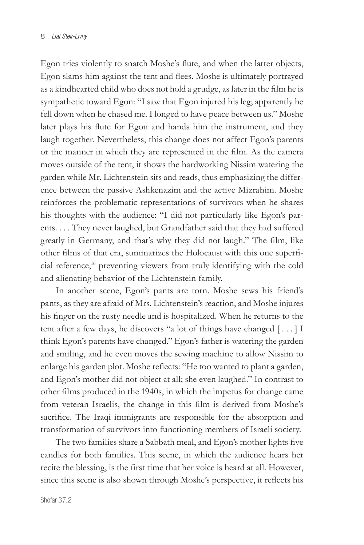Egon tries violently to snatch Moshe's flute, and when the latter objects, Egon slams him against the tent and flees. Moshe is ultimately portrayed as a kindhearted child who does not hold a grudge, as later in the film he is sympathetic toward Egon: "I saw that Egon injured his leg; apparently he fell down when he chased me. I longed to have peace between us." Moshe later plays his flute for Egon and hands him the instrument, and they laugh together. Nevertheless, this change does not affect Egon's parents or the manner in which they are represented in the film. As the camera moves outside of the tent, it shows the hardworking Nissim watering the garden while Mr. Lichtenstein sits and reads, thus emphasizing the difference between the passive Ashkenazim and the active Mizrahim. Moshe reinforces the problematic representations of survivors when he shares his thoughts with the audience: "I did not particularly like Egon's parents. . . . They never laughed, but Grandfather said that they had suffered greatly in Germany, and that's why they did not laugh." The film, like other films of that era, summarizes the Holocaust with this one superficial reference,16 preventing viewers from truly identifying with the cold and alienating behavior of the Lichtenstein family.

In another scene, Egon's pants are torn. Moshe sews his friend's pants, as they are afraid of Mrs. Lichtenstein's reaction, and Moshe injures his finger on the rusty needle and is hospitalized. When he returns to the tent after a few days, he discovers "a lot of things have changed [ . . . ] I think Egon's parents have changed." Egon's father is watering the garden and smiling, and he even moves the sewing machine to allow Nissim to enlarge his garden plot. Moshe reflects: "He too wanted to plant a garden, and Egon's mother did not object at all; she even laughed." In contrast to other films produced in the 1940s, in which the impetus for change came from veteran Israelis, the change in this film is derived from Moshe's sacrifice. The Iraqi immigrants are responsible for the absorption and transformation of survivors into functioning members of Israeli society.

The two families share a Sabbath meal, and Egon's mother lights five candles for both families. This scene, in which the audience hears her recite the blessing, is the first time that her voice is heard at all. However, since this scene is also shown through Moshe's perspective, it reflects his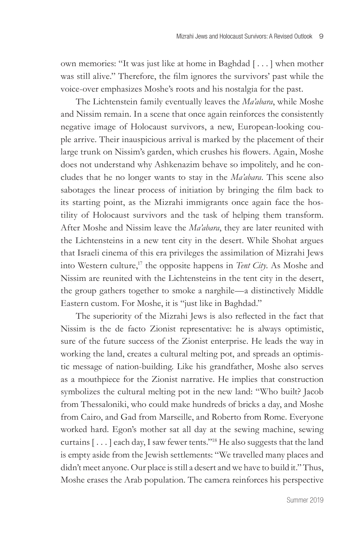own memories: "It was just like at home in Baghdad [ . . . ] when mother was still alive." Therefore, the film ignores the survivors' past while the voice-over emphasizes Moshe's roots and his nostalgia for the past.

The Lichtenstein family eventually leaves the *Ma'abara*, while Moshe and Nissim remain. In a scene that once again reinforces the consistently negative image of Holocaust survivors, a new, European-looking couple arrive. Their inauspicious arrival is marked by the placement of their large trunk on Nissim's garden, which crushes his flowers. Again, Moshe does not understand why Ashkenazim behave so impolitely, and he concludes that he no longer wants to stay in the *Ma'abara*. This scene also sabotages the linear process of initiation by bringing the film back to its starting point, as the Mizrahi immigrants once again face the hostility of Holocaust survivors and the task of helping them transform. After Moshe and Nissim leave the *Ma'abara*, they are later reunited with the Lichtensteins in a new tent city in the desert. While Shohat argues that Israeli cinema of this era privileges the assimilation of Mizrahi Jews into Western culture,<sup>17</sup> the opposite happens in *Tent City*. As Moshe and Nissim are reunited with the Lichtensteins in the tent city in the desert, the group gathers together to smoke a narghile—a distinctively Middle Eastern custom. For Moshe, it is "just like in Baghdad."

The superiority of the Mizrahi Jews is also reflected in the fact that Nissim is the de facto Zionist representative: he is always optimistic, sure of the future success of the Zionist enterprise. He leads the way in working the land, creates a cultural melting pot, and spreads an optimistic message of nation-building. Like his grandfather, Moshe also serves as a mouthpiece for the Zionist narrative. He implies that construction symbolizes the cultural melting pot in the new land: "Who built? Jacob from Thessaloniki, who could make hundreds of bricks a day, and Moshe from Cairo, and Gad from Marseille, and Roberto from Rome. Everyone worked hard. Egon's mother sat all day at the sewing machine, sewing curtains [ . . . ] each day, I saw fewer tents."18 He also suggests that the land is empty aside from the Jewish settlements: "We travelled many places and didn't meet anyone. Our place is still a desert and we have to build it." Thus, Moshe erases the Arab population. The camera reinforces his perspective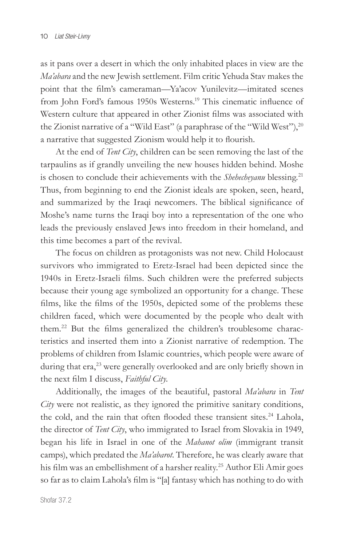as it pans over a desert in which the only inhabited places in view are the *Ma'abara* and the new Jewish settlement. Film critic Yehuda Stav makes the point that the film's cameraman—Ya'acov Yunilevitz—imitated scenes from John Ford's famous 1950s Westerns.<sup>19</sup> This cinematic influence of Western culture that appeared in other Zionist films was associated with the Zionist narrative of a "Wild East" (a paraphrase of the "Wild West"),  $2^{0}$ a narrative that suggested Zionism would help it to flourish.

At the end of *Tent City*, children can be seen removing the last of the tarpaulins as if grandly unveiling the new houses hidden behind. Moshe is chosen to conclude their achievements with the *Shehecheyanu* blessing.<sup>21</sup> Thus, from beginning to end the Zionist ideals are spoken, seen, heard, and summarized by the Iraqi newcomers. The biblical significance of Moshe's name turns the Iraqi boy into a representation of the one who leads the previously enslaved Jews into freedom in their homeland, and this time becomes a part of the revival.

The focus on children as protagonists was not new. Child Holocaust survivors who immigrated to Eretz-Israel had been depicted since the 1940s in Eretz-Israeli films. Such children were the preferred subjects because their young age symbolized an opportunity for a change. These films, like the films of the 1950s, depicted some of the problems these children faced, which were documented by the people who dealt with them.22 But the films generalized the children's troublesome characteristics and inserted them into a Zionist narrative of redemption. The problems of children from Islamic countries, which people were aware of during that era,<sup>23</sup> were generally overlooked and are only briefly shown in the next film I discuss, *Faithful City*.

Additionally, the images of the beautiful, pastoral *Ma'abara* in *Tent City* were not realistic, as they ignored the primitive sanitary conditions, the cold, and the rain that often flooded these transient sites.<sup>24</sup> Lahola, the director of *Tent City*, who immigrated to Israel from Slovakia in 1949, began his life in Israel in one of the *Mahanot olim* (immigrant transit camps), which predated the *Ma'abarot*. Therefore, he was clearly aware that his film was an embellishment of a harsher reality.<sup>25</sup> Author Eli Amir goes so far as to claim Lahola's film is "[a] fantasy which has nothing to do with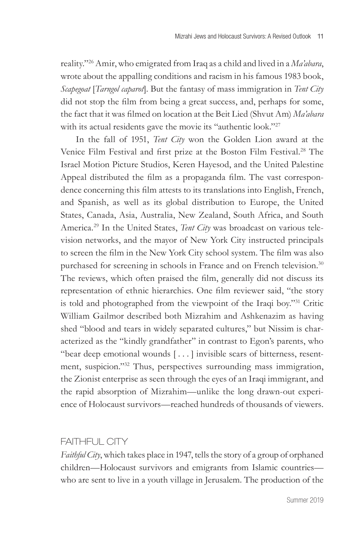reality."26 Amir, who emigrated from Iraq as a child and lived in a *Ma'abara*, wrote about the appalling conditions and racism in his famous 1983 book, *Scapegoat* [*Tarngol caparot*]. But the fantasy of mass immigration in *Tent City*  did not stop the film from being a great success, and, perhaps for some, the fact that it was filmed on location at the Beit Lied (Shvut Am) *Ma'abara* with its actual residents gave the movie its "authentic look."<sup>27</sup>

In the fall of 1951, *Tent City* won the Golden Lion award at the Venice Film Festival and first prize at the Boston Film Festival.28 The Israel Motion Picture Studios, Keren Hayesod, and the United Palestine Appeal distributed the film as a propaganda film. The vast correspondence concerning this film attests to its translations into English, French, and Spanish, as well as its global distribution to Europe, the United States, Canada, Asia, Australia, New Zealand, South Africa, and South America.29 In the United States, *Tent City* was broadcast on various television networks, and the mayor of New York City instructed principals to screen the film in the New York City school system. The film was also purchased for screening in schools in France and on French television.<sup>30</sup> The reviews, which often praised the film, generally did not discuss its representation of ethnic hierarchies. One film reviewer said, "the story is told and photographed from the viewpoint of the Iraqi boy."31 Critic William Gailmor described both Mizrahim and Ashkenazim as having shed "blood and tears in widely separated cultures," but Nissim is characterized as the "kindly grandfather" in contrast to Egon's parents, who "bear deep emotional wounds [ . . . ] invisible scars of bitterness, resentment, suspicion."32 Thus, perspectives surrounding mass immigration, the Zionist enterprise as seen through the eyes of an Iraqi immigrant, and the rapid absorption of Mizrahim—unlike the long drawn-out experience of Holocaust survivors—reached hundreds of thousands of viewers.

#### FAITHFUL CITY

*Faithful City*, which takes place in 1947, tells the story of a group of orphaned children—Holocaust survivors and emigrants from Islamic countries who are sent to live in a youth village in Jerusalem. The production of the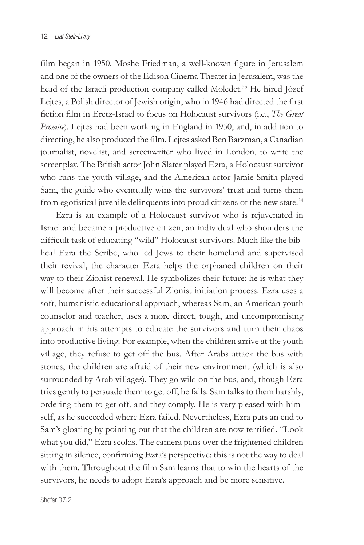film began in 1950. Moshe Friedman, a well-known figure in Jerusalem and one of the owners of the Edison Cinema Theater in Jerusalem, was the head of the Israeli production company called Moledet.33 He hired Józef Lejtes, a Polish director of Jewish origin, who in 1946 had directed the first fiction film in Eretz-Israel to focus on Holocaust survivors (i.e., *The Great Promise*). Lejtes had been working in England in 1950, and, in addition to directing, he also produced the film. Lejtes asked Ben Barzman, a Canadian journalist, novelist, and screenwriter who lived in London, to write the screenplay. The British actor John Slater played Ezra, a Holocaust survivor who runs the youth village, and the American actor Jamie Smith played Sam, the guide who eventually wins the survivors' trust and turns them from egotistical juvenile delinquents into proud citizens of the new state.34

Ezra is an example of a Holocaust survivor who is rejuvenated in Israel and became a productive citizen, an individual who shoulders the difficult task of educating "wild" Holocaust survivors. Much like the biblical Ezra the Scribe, who led Jews to their homeland and supervised their revival, the character Ezra helps the orphaned children on their way to their Zionist renewal. He symbolizes their future: he is what they will become after their successful Zionist initiation process. Ezra uses a soft, humanistic educational approach, whereas Sam, an American youth counselor and teacher, uses a more direct, tough, and uncompromising approach in his attempts to educate the survivors and turn their chaos into productive living. For example, when the children arrive at the youth village, they refuse to get off the bus. After Arabs attack the bus with stones, the children are afraid of their new environment (which is also surrounded by Arab villages). They go wild on the bus, and, though Ezra tries gently to persuade them to get off, he fails. Sam talks to them harshly, ordering them to get off, and they comply. He is very pleased with himself, as he succeeded where Ezra failed. Nevertheless, Ezra puts an end to Sam's gloating by pointing out that the children are now terrified. "Look what you did," Ezra scolds. The camera pans over the frightened children sitting in silence, confirming Ezra's perspective: this is not the way to deal with them. Throughout the film Sam learns that to win the hearts of the survivors, he needs to adopt Ezra's approach and be more sensitive.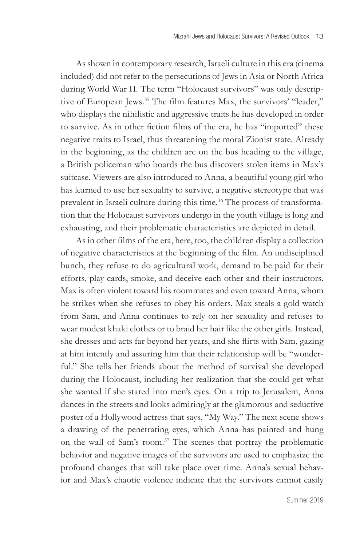As shown in contemporary research, Israeli culture in this era (cinema included) did not refer to the persecutions of Jews in Asia or North Africa during World War II. The term "Holocaust survivors" was only descriptive of European Jews.<sup>35</sup> The film features Max, the survivors' "leader," who displays the nihilistic and aggressive traits he has developed in order to survive. As in other fiction films of the era, he has "imported" these negative traits to Israel, thus threatening the moral Zionist state. Already in the beginning, as the children are on the bus heading to the village, a British policeman who boards the bus discovers stolen items in Max's suitcase. Viewers are also introduced to Anna, a beautiful young girl who has learned to use her sexuality to survive, a negative stereotype that was prevalent in Israeli culture during this time.<sup>36</sup> The process of transformation that the Holocaust survivors undergo in the youth village is long and exhausting, and their problematic characteristics are depicted in detail.

As in other films of the era, here, too, the children display a collection of negative characteristics at the beginning of the film. An undisciplined bunch, they refuse to do agricultural work, demand to be paid for their efforts, play cards, smoke, and deceive each other and their instructors. Max is often violent toward his roommates and even toward Anna, whom he strikes when she refuses to obey his orders. Max steals a gold watch from Sam, and Anna continues to rely on her sexuality and refuses to wear modest khaki clothes or to braid her hair like the other girls. Instead, she dresses and acts far beyond her years, and she flirts with Sam, gazing at him intently and assuring him that their relationship will be "wonderful." She tells her friends about the method of survival she developed during the Holocaust, including her realization that she could get what she wanted if she stared into men's eyes. On a trip to Jerusalem, Anna dances in the streets and looks admiringly at the glamorous and seductive poster of a Hollywood actress that says, "My Way." The next scene shows a drawing of the penetrating eyes, which Anna has painted and hung on the wall of Sam's room.<sup>37</sup> The scenes that portray the problematic behavior and negative images of the survivors are used to emphasize the profound changes that will take place over time. Anna's sexual behavior and Max's chaotic violence indicate that the survivors cannot easily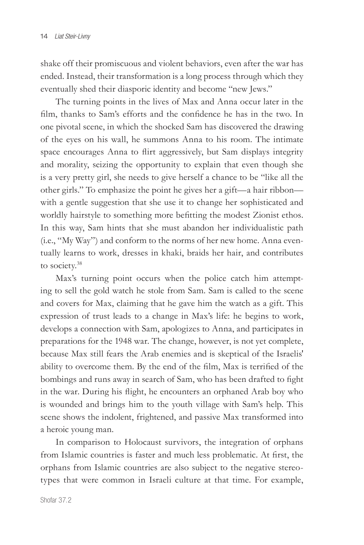shake off their promiscuous and violent behaviors, even after the war has ended. Instead, their transformation is a long process through which they eventually shed their diasporic identity and become "new Jews."

The turning points in the lives of Max and Anna occur later in the film, thanks to Sam's efforts and the confidence he has in the two. In one pivotal scene, in which the shocked Sam has discovered the drawing of the eyes on his wall, he summons Anna to his room. The intimate space encourages Anna to flirt aggressively, but Sam displays integrity and morality, seizing the opportunity to explain that even though she is a very pretty girl, she needs to give herself a chance to be "like all the other girls." To emphasize the point he gives her a gift—a hair ribbon with a gentle suggestion that she use it to change her sophisticated and worldly hairstyle to something more befitting the modest Zionist ethos. In this way, Sam hints that she must abandon her individualistic path (i.e., "My Way") and conform to the norms of her new home. Anna eventually learns to work, dresses in khaki, braids her hair, and contributes to society.<sup>38</sup>

Max's turning point occurs when the police catch him attempting to sell the gold watch he stole from Sam. Sam is called to the scene and covers for Max, claiming that he gave him the watch as a gift. This expression of trust leads to a change in Max's life: he begins to work, develops a connection with Sam, apologizes to Anna, and participates in preparations for the 1948 war. The change, however, is not yet complete, because Max still fears the Arab enemies and is skeptical of the Israelis' ability to overcome them. By the end of the film, Max is terrified of the bombings and runs away in search of Sam, who has been drafted to fight in the war. During his flight, he encounters an orphaned Arab boy who is wounded and brings him to the youth village with Sam's help. This scene shows the indolent, frightened, and passive Max transformed into a heroic young man.

In comparison to Holocaust survivors, the integration of orphans from Islamic countries is faster and much less problematic. At first, the orphans from Islamic countries are also subject to the negative stereotypes that were common in Israeli culture at that time. For example,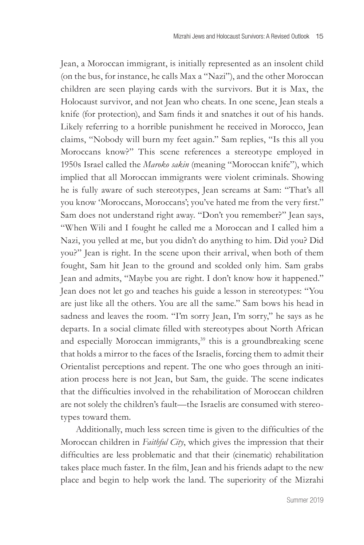Jean, a Moroccan immigrant, is initially represented as an insolent child (on the bus, for instance, he calls Max a "Nazi"), and the other Moroccan children are seen playing cards with the survivors. But it is Max, the Holocaust survivor, and not Jean who cheats. In one scene, Jean steals a knife (for protection), and Sam finds it and snatches it out of his hands. Likely referring to a horrible punishment he received in Morocco, Jean claims, "Nobody will burn my feet again." Sam replies, "Is this all you Moroccans know?" This scene references a stereotype employed in 1950s Israel called the *Maroko sakin* (meaning "Moroccan knife"), which implied that all Moroccan immigrants were violent criminals. Showing he is fully aware of such stereotypes, Jean screams at Sam: "That's all you know 'Moroccans, Moroccans'; you've hated me from the very first." Sam does not understand right away. "Don't you remember?" Jean says, "When Wili and I fought he called me a Moroccan and I called him a Nazi, you yelled at me, but you didn't do anything to him. Did you? Did you?" Jean is right. In the scene upon their arrival, when both of them fought, Sam hit Jean to the ground and scolded only him. Sam grabs Jean and admits, "Maybe you are right. I don't know how it happened." Jean does not let go and teaches his guide a lesson in stereotypes: "You are just like all the others. You are all the same." Sam bows his head in sadness and leaves the room. "I'm sorry Jean, I'm sorry," he says as he departs. In a social climate filled with stereotypes about North African and especially Moroccan immigrants, $39$  this is a groundbreaking scene that holds a mirror to the faces of the Israelis, forcing them to admit their Orientalist perceptions and repent. The one who goes through an initiation process here is not Jean, but Sam, the guide. The scene indicates that the difficulties involved in the rehabilitation of Moroccan children are not solely the children's fault—the Israelis are consumed with stereotypes toward them.

Additionally, much less screen time is given to the difficulties of the Moroccan children in *Faithful City*, which gives the impression that their difficulties are less problematic and that their (cinematic) rehabilitation takes place much faster. In the film, Jean and his friends adapt to the new place and begin to help work the land. The superiority of the Mizrahi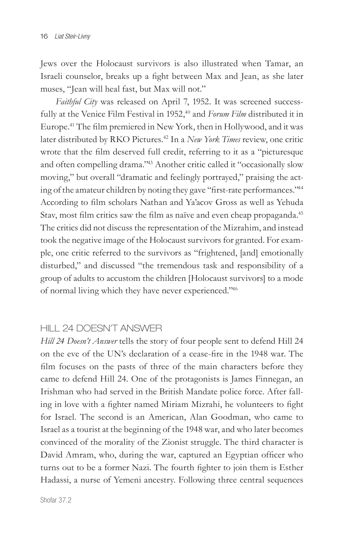Jews over the Holocaust survivors is also illustrated when Tamar, an Israeli counselor, breaks up a fight between Max and Jean, as she later muses, "Jean will heal fast, but Max will not."

*Faithful City* was released on April 7, 1952. It was screened successfully at the Venice Film Festival in 1952,<sup>40</sup> and *Forum Film* distributed it in Europe.41 The film premiered in New York, then in Hollywood, and it was later distributed by RKO Pictures.42 In a *New York Times* review, one critic wrote that the film deserved full credit, referring to it as a "picturesque and often compelling drama."43 Another critic called it "occasionally slow moving," but overall "dramatic and feelingly portrayed," praising the acting of the amateur children by noting they gave "first-rate performances."<sup>44</sup> According to film scholars Nathan and Ya'acov Gross as well as Yehuda Stav, most film critics saw the film as naïve and even cheap propaganda.<sup>45</sup> The critics did not discuss the representation of the Mizrahim, and instead took the negative image of the Holocaust survivors for granted. For example, one critic referred to the survivors as "frightened, [and] emotionally disturbed," and discussed "the tremendous task and responsibility of a group of adults to accustom the children [Holocaust survivors] to a mode of normal living which they have never experienced."46

#### HILL 24 DOESN'T ANSWER

*Hill 24 Doesn't Answer* tells the story of four people sent to defend Hill 24 on the eve of the UN's declaration of a cease-fire in the 1948 war. The film focuses on the pasts of three of the main characters before they came to defend Hill 24. One of the protagonists is James Finnegan, an Irishman who had served in the British Mandate police force. After falling in love with a fighter named Miriam Mizrahi, he volunteers to fight for Israel. The second is an American, Alan Goodman, who came to Israel as a tourist at the beginning of the 1948 war, and who later becomes convinced of the morality of the Zionist struggle. The third character is David Amram, who, during the war, captured an Egyptian officer who turns out to be a former Nazi. The fourth fighter to join them is Esther Hadassi, a nurse of Yemeni ancestry. Following three central sequences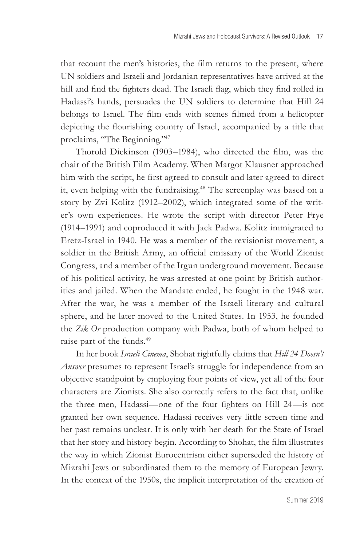that recount the men's histories, the film returns to the present, where UN soldiers and Israeli and Jordanian representatives have arrived at the hill and find the fighters dead. The Israeli flag, which they find rolled in Hadassi's hands, persuades the UN soldiers to determine that Hill 24 belongs to Israel. The film ends with scenes filmed from a helicopter depicting the flourishing country of Israel, accompanied by a title that proclaims, "The Beginning."47

Thorold Dickinson (1903–1984), who directed the film, was the chair of the British Film Academy. When Margot Klausner approached him with the script, he first agreed to consult and later agreed to direct it, even helping with the fundraising.<sup>48</sup> The screenplay was based on a story by Zvi Kolitz (1912–2002), which integrated some of the writer's own experiences. He wrote the script with director Peter Frye (1914–1991) and coproduced it with Jack Padwa. Kolitz immigrated to Eretz-Israel in 1940. He was a member of the revisionist movement, a soldier in the British Army, an official emissary of the World Zionist Congress, and a member of the Irgun underground movement. Because of his political activity, he was arrested at one point by British authorities and jailed. When the Mandate ended, he fought in the 1948 war. After the war, he was a member of the Israeli literary and cultural sphere, and he later moved to the United States. In 1953, he founded the *Zik Or* production company with Padwa, both of whom helped to raise part of the funds.<sup>49</sup>

In her book *Israeli Cinema*, Shohat rightfully claims that *Hill 24 Doesn't Answer* presumes to represent Israel's struggle for independence from an objective standpoint by employing four points of view, yet all of the four characters are Zionists. She also correctly refers to the fact that, unlike the three men, Hadassi—one of the four fighters on Hill 24—is not granted her own sequence. Hadassi receives very little screen time and her past remains unclear. It is only with her death for the State of Israel that her story and history begin. According to Shohat, the film illustrates the way in which Zionist Eurocentrism either superseded the history of Mizrahi Jews or subordinated them to the memory of European Jewry. In the context of the 1950s, the implicit interpretation of the creation of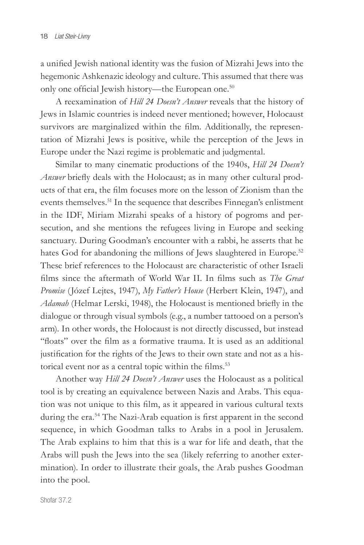a unified Jewish national identity was the fusion of Mizrahi Jews into the hegemonic Ashkenazic ideology and culture. This assumed that there was only one official Jewish history—the European one.<sup>50</sup>

A reexamination of *Hill 24 Doesn't Answer* reveals that the history of Jews in Islamic countries is indeed never mentioned; however, Holocaust survivors are marginalized within the film. Additionally, the representation of Mizrahi Jews is positive, while the perception of the Jews in Europe under the Nazi regime is problematic and judgmental.

Similar to many cinematic productions of the 1940s, *Hill 24 Doesn't Answer* briefly deals with the Holocaust; as in many other cultural products of that era, the film focuses more on the lesson of Zionism than the events themselves.<sup>51</sup> In the sequence that describes Finnegan's enlistment in the IDF, Miriam Mizrahi speaks of a history of pogroms and persecution, and she mentions the refugees living in Europe and seeking sanctuary. During Goodman's encounter with a rabbi, he asserts that he hates God for abandoning the millions of Jews slaughtered in Europe.<sup>52</sup> These brief references to the Holocaust are characteristic of other Israeli films since the aftermath of World War II. In films such as *The Great Promise* (Józef Lejtes, 1947), *My Father's House* (Herbert Klein, 1947), and *Adamah* (Helmar Lerski, 1948), the Holocaust is mentioned briefly in the dialogue or through visual symbols (e.g., a number tattooed on a person's arm). In other words, the Holocaust is not directly discussed, but instead "floats" over the film as a formative trauma. It is used as an additional justification for the rights of the Jews to their own state and not as a historical event nor as a central topic within the films.<sup>53</sup>

Another way *Hill 24 Doesn't Answer* uses the Holocaust as a political tool is by creating an equivalence between Nazis and Arabs. This equation was not unique to this film, as it appeared in various cultural texts during the era.54 The Nazi-Arab equation is first apparent in the second sequence, in which Goodman talks to Arabs in a pool in Jerusalem. The Arab explains to him that this is a war for life and death, that the Arabs will push the Jews into the sea (likely referring to another extermination). In order to illustrate their goals, the Arab pushes Goodman into the pool.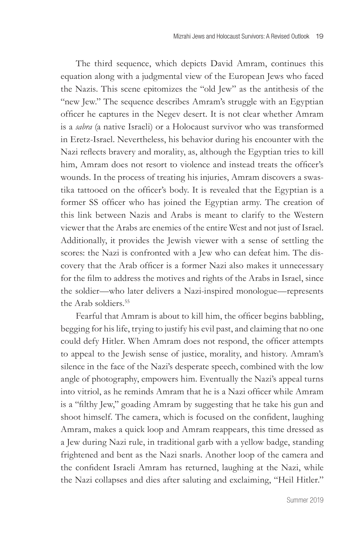The third sequence, which depicts David Amram, continues this equation along with a judgmental view of the European Jews who faced the Nazis. This scene epitomizes the "old Jew" as the antithesis of the "new Jew." The sequence describes Amram's struggle with an Egyptian officer he captures in the Negev desert. It is not clear whether Amram is a *sabra* (a native Israeli) or a Holocaust survivor who was transformed in Eretz-Israel. Nevertheless, his behavior during his encounter with the Nazi reflects bravery and morality, as, although the Egyptian tries to kill him, Amram does not resort to violence and instead treats the officer's wounds. In the process of treating his injuries, Amram discovers a swastika tattooed on the officer's body. It is revealed that the Egyptian is a former SS officer who has joined the Egyptian army. The creation of this link between Nazis and Arabs is meant to clarify to the Western viewer that the Arabs are enemies of the entire West and not just of Israel. Additionally, it provides the Jewish viewer with a sense of settling the scores: the Nazi is confronted with a Jew who can defeat him. The discovery that the Arab officer is a former Nazi also makes it unnecessary for the film to address the motives and rights of the Arabs in Israel, since the soldier—who later delivers a Nazi-inspired monologue—represents the Arab soldiers.<sup>55</sup>

Fearful that Amram is about to kill him, the officer begins babbling, begging for his life, trying to justify his evil past, and claiming that no one could defy Hitler. When Amram does not respond, the officer attempts to appeal to the Jewish sense of justice, morality, and history. Amram's silence in the face of the Nazi's desperate speech, combined with the low angle of photography, empowers him. Eventually the Nazi's appeal turns into vitriol, as he reminds Amram that he is a Nazi officer while Amram is a "filthy Jew," goading Amram by suggesting that he take his gun and shoot himself. The camera, which is focused on the confident, laughing Amram, makes a quick loop and Amram reappears, this time dressed as a Jew during Nazi rule, in traditional garb with a yellow badge, standing frightened and bent as the Nazi snarls. Another loop of the camera and the confident Israeli Amram has returned, laughing at the Nazi, while the Nazi collapses and dies after saluting and exclaiming, "Heil Hitler."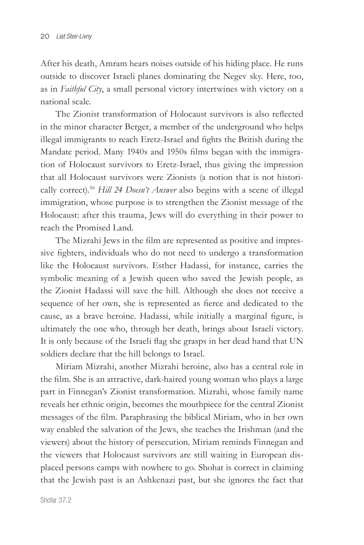After his death, Amram hears noises outside of his hiding place. He runs outside to discover Israeli planes dominating the Negev sky. Here, too, as in *Faithful City*, a small personal victory intertwines with victory on a national scale.

The Zionist transformation of Holocaust survivors is also reflected in the minor character Berger, a member of the underground who helps illegal immigrants to reach Eretz-Israel and fights the British during the Mandate period. Many 1940s and 1950s films began with the immigration of Holocaust survivors to Eretz-Israel, thus giving the impression that all Holocaust survivors were Zionists (a notion that is not historically correct).56 *Hill 24 Doesn't Answer* also begins with a scene of illegal immigration, whose purpose is to strengthen the Zionist message of the Holocaust: after this trauma, Jews will do everything in their power to reach the Promised Land.

The Mizrahi Jews in the film are represented as positive and impressive fighters, individuals who do not need to undergo a transformation like the Holocaust survivors. Esther Hadassi, for instance, carries the symbolic meaning of a Jewish queen who saved the Jewish people, as the Zionist Hadassi will save the hill. Although she does not receive a sequence of her own, she is represented as fierce and dedicated to the cause, as a brave heroine. Hadassi, while initially a marginal figure, is ultimately the one who, through her death, brings about Israeli victory. It is only because of the Israeli flag she grasps in her dead hand that UN soldiers declare that the hill belongs to Israel.

Miriam Mizrahi, another Mizrahi heroine, also has a central role in the film. She is an attractive, dark-haired young woman who plays a large part in Finnegan's Zionist transformation. Mizrahi, whose family name reveals her ethnic origin, becomes the mouthpiece for the central Zionist messages of the film. Paraphrasing the biblical Miriam, who in her own way enabled the salvation of the Jews, she teaches the Irishman (and the viewers) about the history of persecution. Miriam reminds Finnegan and the viewers that Holocaust survivors are still waiting in European displaced persons camps with nowhere to go. Shohat is correct in claiming that the Jewish past is an Ashkenazi past, but she ignores the fact that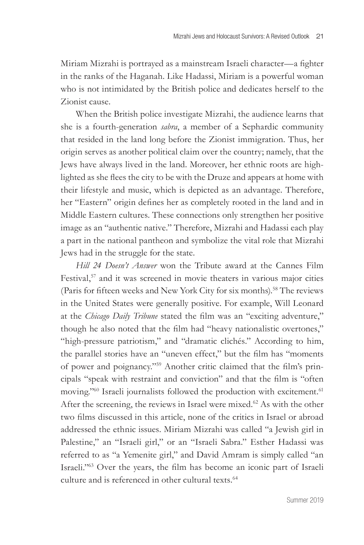Miriam Mizrahi is portrayed as a mainstream Israeli character—a fighter in the ranks of the Haganah. Like Hadassi, Miriam is a powerful woman who is not intimidated by the British police and dedicates herself to the Zionist cause.

When the British police investigate Mizrahi, the audience learns that she is a fourth-generation *sabra*, a member of a Sephardic community that resided in the land long before the Zionist immigration. Thus, her origin serves as another political claim over the country; namely, that the Jews have always lived in the land. Moreover, her ethnic roots are highlighted as she flees the city to be with the Druze and appears at home with their lifestyle and music, which is depicted as an advantage. Therefore, her "Eastern" origin defines her as completely rooted in the land and in Middle Eastern cultures. These connections only strengthen her positive image as an "authentic native." Therefore, Mizrahi and Hadassi each play a part in the national pantheon and symbolize the vital role that Mizrahi Jews had in the struggle for the state.

*Hill 24 Doesn't Answer* won the Tribute award at the Cannes Film Festival,<sup>57</sup> and it was screened in movie theaters in various major cities (Paris for fifteen weeks and New York City for six months).<sup>58</sup> The reviews in the United States were generally positive. For example, Will Leonard at the *Chicago Daily Tribune* stated the film was an "exciting adventure," though he also noted that the film had "heavy nationalistic overtones," "high-pressure patriotism," and "dramatic clichés." According to him, the parallel stories have an "uneven effect," but the film has "moments of power and poignancy."59 Another critic claimed that the film's principals "speak with restraint and conviction" and that the film is "often moving."<sup>60</sup> Israeli journalists followed the production with excitement.<sup>61</sup> After the screening, the reviews in Israel were mixed.<sup>62</sup> As with the other two films discussed in this article, none of the critics in Israel or abroad addressed the ethnic issues. Miriam Mizrahi was called "a Jewish girl in Palestine," an "Israeli girl," or an "Israeli Sabra." Esther Hadassi was referred to as "a Yemenite girl," and David Amram is simply called "an Israeli."63 Over the years, the film has become an iconic part of Israeli culture and is referenced in other cultural texts.<sup>64</sup>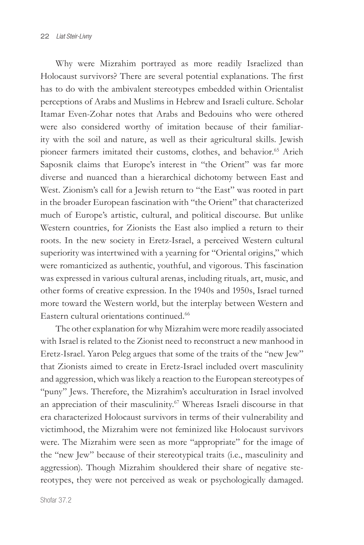Why were Mizrahim portrayed as more readily Israelized than Holocaust survivors? There are several potential explanations. The first has to do with the ambivalent stereotypes embedded within Orientalist perceptions of Arabs and Muslims in Hebrew and Israeli culture. Scholar Itamar Even-Zohar notes that Arabs and Bedouins who were othered were also considered worthy of imitation because of their familiarity with the soil and nature, as well as their agricultural skills. Jewish pioneer farmers imitated their customs, clothes, and behavior.<sup>65</sup> Arieh Saposnik claims that Europe's interest in "the Orient" was far more diverse and nuanced than a hierarchical dichotomy between East and West. Zionism's call for a Jewish return to "the East" was rooted in part in the broader European fascination with "the Orient" that characterized much of Europe's artistic, cultural, and political discourse. But unlike Western countries, for Zionists the East also implied a return to their roots. In the new society in Eretz-Israel, a perceived Western cultural superiority was intertwined with a yearning for "Oriental origins," which were romanticized as authentic, youthful, and vigorous. This fascination was expressed in various cultural arenas, including rituals, art, music, and other forms of creative expression. In the 1940s and 1950s, Israel turned more toward the Western world, but the interplay between Western and Eastern cultural orientations continued.<sup>66</sup>

The other explanation for why Mizrahim were more readily associated with Israel is related to the Zionist need to reconstruct a new manhood in Eretz-Israel. Yaron Peleg argues that some of the traits of the "new Jew" that Zionists aimed to create in Eretz-Israel included overt masculinity and aggression, which was likely a reaction to the European stereotypes of "puny" Jews. Therefore, the Mizrahim's acculturation in Israel involved an appreciation of their masculinity.<sup>67</sup> Whereas Israeli discourse in that era characterized Holocaust survivors in terms of their vulnerability and victimhood, the Mizrahim were not feminized like Holocaust survivors were. The Mizrahim were seen as more "appropriate" for the image of the "new Jew" because of their stereotypical traits (i.e., masculinity and aggression). Though Mizrahim shouldered their share of negative stereotypes, they were not perceived as weak or psychologically damaged.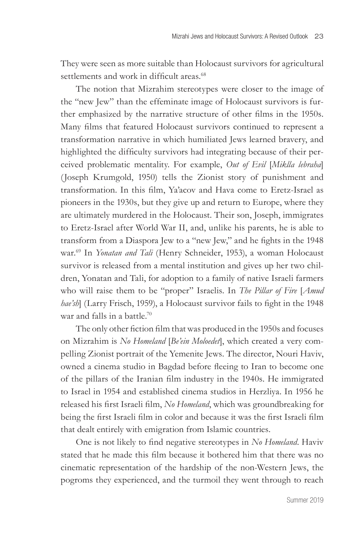They were seen as more suitable than Holocaust survivors for agricultural settlements and work in difficult areas.<sup>68</sup>

The notion that Mizrahim stereotypes were closer to the image of the "new Jew" than the effeminate image of Holocaust survivors is further emphasized by the narrative structure of other films in the 1950s. Many films that featured Holocaust survivors continued to represent a transformation narrative in which humiliated Jews learned bravery, and highlighted the difficulty survivors had integrating because of their perceived problematic mentality. For example, *Out of Evil* [*Miklla lebraha*] (Joseph Krumgold, 1950) tells the Zionist story of punishment and transformation. In this film, Ya'acov and Hava come to Eretz-Israel as pioneers in the 1930s, but they give up and return to Europe, where they are ultimately murdered in the Holocaust. Their son, Joseph, immigrates to Eretz-Israel after World War II, and, unlike his parents, he is able to transform from a Diaspora Jew to a "new Jew," and he fights in the 1948 war.69 In *Yonatan and Tali* (Henry Schneider, 1953), a woman Holocaust survivor is released from a mental institution and gives up her two children, Yonatan and Tali, for adoption to a family of native Israeli farmers who will raise them to be "proper" Israelis. In *The Pillar of Fire* [*Amud hae'sh*] (Larry Frisch, 1959), a Holocaust survivor fails to fight in the 1948 war and falls in a battle.<sup>70</sup>

The only other fiction film that was produced in the 1950s and focuses on Mizrahim is *No Homeland* [*Be'ein Moloedet*], which created a very compelling Zionist portrait of the Yemenite Jews. The director, Nouri Haviv, owned a cinema studio in Bagdad before fleeing to Iran to become one of the pillars of the Iranian film industry in the 1940s. He immigrated to Israel in 1954 and established cinema studios in Herzliya. In 1956 he released his first Israeli film, *No Homeland*, which was groundbreaking for being the first Israeli film in color and because it was the first Israeli film that dealt entirely with emigration from Islamic countries.

One is not likely to find negative stereotypes in *No Homeland*. Haviv stated that he made this film because it bothered him that there was no cinematic representation of the hardship of the non-Western Jews, the pogroms they experienced, and the turmoil they went through to reach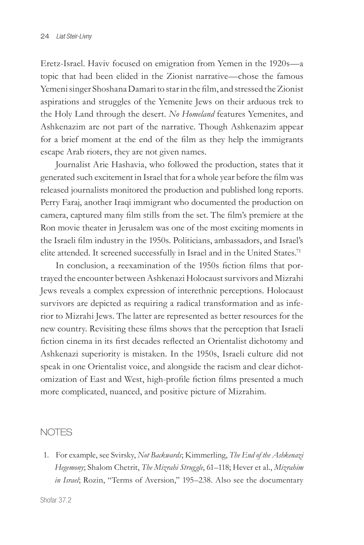Eretz-Israel. Haviv focused on emigration from Yemen in the 1920s—a topic that had been elided in the Zionist narrative—chose the famous Yemeni singer Shoshana Damari to star in the film, and stressed the Zionist aspirations and struggles of the Yemenite Jews on their arduous trek to the Holy Land through the desert. *No Homeland* features Yemenites, and Ashkenazim are not part of the narrative. Though Ashkenazim appear for a brief moment at the end of the film as they help the immigrants escape Arab rioters, they are not given names.

Journalist Arie Hashavia, who followed the production, states that it generated such excitement in Israel that for a whole year before the film was released journalists monitored the production and published long reports. Perry Faraj, another Iraqi immigrant who documented the production on camera, captured many film stills from the set. The film's premiere at the Ron movie theater in Jerusalem was one of the most exciting moments in the Israeli film industry in the 1950s. Politicians, ambassadors, and Israel's elite attended. It screened successfully in Israel and in the United States.<sup>71</sup>

In conclusion, a reexamination of the 1950s fiction films that portrayed the encounter between Ashkenazi Holocaust survivors and Mizrahi Jews reveals a complex expression of interethnic perceptions. Holocaust survivors are depicted as requiring a radical transformation and as inferior to Mizrahi Jews. The latter are represented as better resources for the new country. Revisiting these films shows that the perception that Israeli fiction cinema in its first decades reflected an Orientalist dichotomy and Ashkenazi superiority is mistaken. In the 1950s, Israeli culture did not speak in one Orientalist voice, and alongside the racism and clear dichotomization of East and West, high-profile fiction films presented a much more complicated, nuanced, and positive picture of Mizrahim.

#### **NOTES**

1. For example, see Svirsky, *Not Backwards*; Kimmerling, *The End of the Ashkenazi Hegemony*; Shalom Chetrit, *The Mizrahi Struggle*, 61–118; Hever et al., *Mizrahim in Israel*; Rozin, "Terms of Aversion," 195–238. Also see the documentary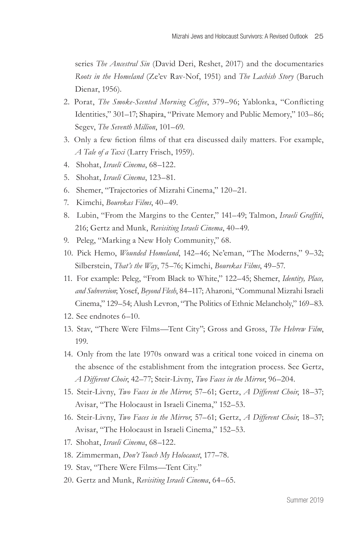series *The Ancestral Sin* (David Deri, Reshet, 2017) and the documentaries *Roots in the Homeland* (Ze'ev Rav-Nof, 1951) and *The Lachish Story* (Baruch Dienar, 1956).

- 2. Porat, *The Smoke-Scented Morning Coffee*, 379–96; Yablonka, "Conflicting Identities," 301–17; Shapira, "Private Memory and Public Memory," 103–86; Segev, *The Seventh Million*, 101–69.
- 3. Only a few fiction films of that era discussed daily matters. For example, *A Tale of a Taxi* (Larry Frisch, 1959).
- 4. Shohat, *Israeli Cinema*, 68–122.
- 5. Shohat, *Israeli Cinema*, 123–81.
- 6. Shemer, "Trajectories of Mizrahi Cinema," 120–21.
- 7. Kimchi, *Bourekas Films*, 40–49.
- 8. Lubin, "From the Margins to the Center," 141–49; Talmon, *Israeli Graffiti*, 216; Gertz and Munk, *Revisiting Israeli Cinema*, 40–49.
- 9. Peleg, "Marking a New Holy Community," 68.
- 10. Pick Hemo, *Wounded Homeland*, 142–46; Ne'eman, "The Moderns," 9–32; Silberstein, *That's the Way*, 75–76; Kimchi, *Bourekas Films*, 49–57.
- 11. For example: Peleg, "From Black to White," 122–45; Shemer, *Identity, Place, and Subversion*; Yosef, *Beyond Flesh*, 84–117; Aharoni, "Communal Mizrahi Israeli Cinema," 129–54; Alush Levron, "The Politics of Ethnic Melancholy," 169–83.
- 12. See endnotes 6–10.
- 13. Stav, "There Were Films—Tent City"; Gross and Gross, *The Hebrew Film*, 199.
- 14. Only from the late 1970s onward was a critical tone voiced in cinema on the absence of the establishment from the integration process. See Gertz, *A Different Choir*, 42–77; Steir-Livny, *Two Faces in the Mirror*, 96–204.
- 15. Steir-Livny, *Two Faces in the Mirror*, 57–61; Gertz, *A Different Choir*, 18–37; Avisar, "The Holocaust in Israeli Cinema," 152–53.
- 16. Steir-Livny, *Two Faces in the Mirror*, 57–61; Gertz, *A Different Choir*, 18–37; Avisar, "The Holocaust in Israeli Cinema," 152–53.
- 17. Shohat, *Israeli Cinema*, 68–122.
- 18. Zimmerman, *Don't Touch My Holocaust*, 177–78.
- 19. Stav, "There Were Films—Tent City."
- 20. Gertz and Munk, *Revisiting Israeli Cinema*, 64–65.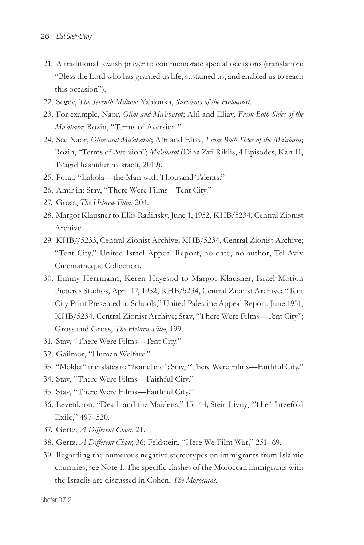- 21. A traditional Jewish prayer to commemorate special occasions (translation: "Bless the Lord who has granted us life, sustained us, and enabled us to reach this occasion").
- 22. Segev, *The Seventh Million*; Yablonka, *Survivors of the Holocaust*.
- 23. For example, Naor, *Olim and Ma'abarot*; Alfi and Eliav, *From Both Sides of the Ma'abara*; Rozin, "Terms of Aversion."
- 24. See Naor, *Olim and Ma'abarot*; Alfi and Eliav, *From Both Sides of the Ma'abara*; Rozin, "Terms of Aversion"; *Ma'abarot* (Dina Zvi-Riklis, 4 Episodes, Kan 11, Ta'agid hashidur haisraeli, 2019).
- 25. Porat, "Lahola—the Man with Thousand Talents."
- 26. Amir in: Stav, "There Were Films—Tent City."
- 27. Gross, *The Hebrew Film*, 204.
- 28. Margot Klausner to Ellis Radinsky, June 1, 1952, KHB/5234, Central Zionist Archive.
- 29. KHB//5233, Central Zionist Archive; KHB/5234, Central Zionist Archive; "Tent City," United Israel Appeal Report, no date, no author, Tel-Aviv Cinematheque Collection.
- 30. Emmy Herrmann, Keren Hayesod to Margot Klausner, Israel Motion Pictures Studios, April 17, 1952, KHB/5234, Central Zionist Archive; "Tent City Print Presented to Schools," United Palestine Appeal Report, June 1951, KHB/5234, Central Zionist Archive; Stav, "There Were Films—Tent City"; Gross and Gross, *The Hebrew Film*, 199.
- 31. Stav, "There Were Films—Tent City."
- 32. Gailmor, "Human Welfare."
- 33. "Moldet" translates to "homeland"; Stav, "There Were Films—Faithful City."
- 34. Stav, "There Were Films—Faithful City."
- 35. Stav, "There Were Films—Faithful City."
- 36. Levenkron, "Death and the Maidens," 15–44; Steir-Livny, "The Threefold Exile," 497–520.
- 37. Gertz, *A Different Choir*, 21.
- 38. Gertz, *A Different Choir*, 36; Feldstein, "Here We Film War," 251–69.
- 39. Regarding the numerous negative stereotypes on immigrants from Islamic countries, see Note 1. The specific clashes of the Moroccan immigrants with the Israelis are discussed in Cohen, *The Moroccans*.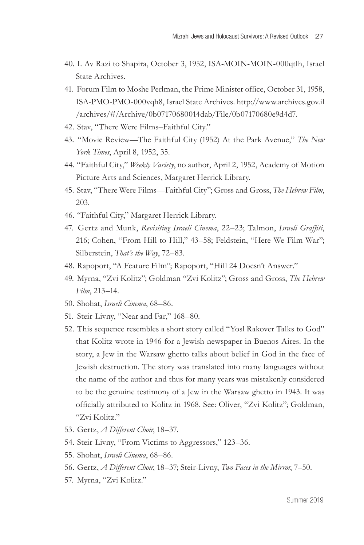- 40. I. Av Razi to Shapira, October 3, 1952, ISA-MOIN-MOIN-000qtlh, Israel State Archives.
- 41. Forum Film to Moshe Perlman, the Prime Minister office, October 31, 1958, ISA-PMO-PMO-000vqh8, Israel State Archives. http://www.archives.gov.il /archives/#/Archive/0b07170680014dab/File/0b07170680e9d4d7.
- 42. Stav, "There Were Films–Faithful City."
- 43. "Movie Review—The Faithful City (1952) At the Park Avenue," *The New York Times*, April 8, 1952, 35.
- 44. "Faithful City," *Weekly Variety*, no author, April 2, 1952, Academy of Motion Picture Arts and Sciences, Margaret Herrick Library.
- 45. Stav, "There Were Films—Faithful City"; Gross and Gross, *The Hebrew Film*, 203.
- 46. "Faithful City," Margaret Herrick Library.
- 47. Gertz and Munk, *Revisiting Israeli Cinema*, 22–23; Talmon, *Israeli Graffiti*, 216; Cohen, "From Hill to Hill," 43–58; Feldstein, "Here We Film War"; Silberstein, *That's the Way*, 72–83.
- 48. Rapoport, "A Feature Film"; Rapoport, "Hill 24 Doesn't Answer."
- 49. Myrna, "Zvi Kolitz"; Goldman "Zvi Kolitz"; Gross and Gross, *The Hebrew Film*, 213–14.
- 50. Shohat, *Israeli Cinema*, 68–86.
- 51. Steir-Livny, "Near and Far," 168–80.
- 52. This sequence resembles a short story called "Yosl Rakover Talks to God" that Kolitz wrote in 1946 for a Jewish newspaper in Buenos Aires. In the story, a Jew in the Warsaw ghetto talks about belief in God in the face of Jewish destruction. The story was translated into many languages without the name of the author and thus for many years was mistakenly considered to be the genuine testimony of a Jew in the Warsaw ghetto in 1943. It was officially attributed to Kolitz in 1968. See: Oliver, "Zvi Kolitz"; Goldman, "Zvi Kolitz."
- 53. Gertz, *A Different Choir*, 18–37.
- 54. Steir-Livny, "From Victims to Aggressors," 123–36.
- 55. Shohat, *Israeli Cinema*, 68–86.
- 56. Gertz, *A Different Choir*, 18–37; Steir-Livny, *Two Faces in the Mirror*, 7–50.
- 57. Myrna, "Zvi Kolitz."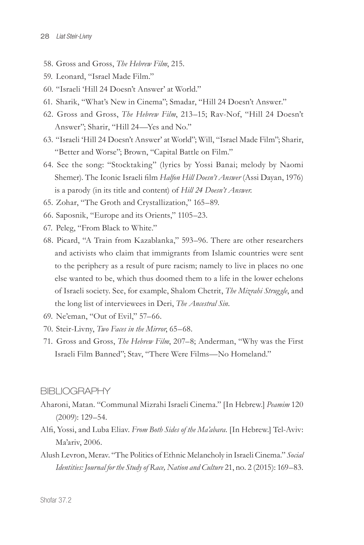- 58. Gross and Gross, *The Hebrew Film*, 215.
- 59. Leonard, "Israel Made Film."
- 60. "Israeli 'Hill 24 Doesn't Answer' at World."
- 61. Sharik, "What's New in Cinema"; Smadar, "Hill 24 Doesn't Answer."
- 62. Gross and Gross, *The Hebrew Film*, 213–15; Rav-Nof, "Hill 24 Doesn't Answer"; Sharir, "Hill 24—Yes and No."
- 63. "Israeli 'Hill 24 Doesn't Answer' at World"; Will, "Israel Made Film"; Sharir, "Better and Worse"; Brown, "Capital Battle on Film."
- 64. See the song: "Stocktaking" (lyrics by Yossi Banai; melody by Naomi Shemer). The Iconic Israeli film *Halfon Hill Doesn't Answer* (Assi Dayan, 1976) is a parody (in its title and content) of *Hill 24 Doesn't Answer*.
- 65. Zohar, "The Groth and Crystallization," 165–89.
- 66. Saposnik, "Europe and its Orients," 1105–23.
- 67. Peleg, "From Black to White."
- 68. Picard, "A Train from Kazablanka," 593–96. There are other researchers and activists who claim that immigrants from Islamic countries were sent to the periphery as a result of pure racism; namely to live in places no one else wanted to be, which thus doomed them to a life in the lower echelons of Israeli society. See, for example, Shalom Chetrit, *The Mizrahi Struggle*, and the long list of interviewees in Deri, *The Ancestral Sin*.
- 69. Ne'eman, "Out of Evil," 57–66.
- 70. Steir-Livny, *Two Faces in the Mirror*, 65–68.
- 71. Gross and Gross, *The Hebrew Film*, 207–8; Anderman, "Why was the First Israeli Film Banned"; Stav, "There Were Films—No Homeland."

#### **BIBLIOGRAPHY**

- Aharoni, Matan. "Communal Mizrahi Israeli Cinema." [In Hebrew.] *Peamim* 120 (2009): 129–54.
- Alfi, Yossi, and Luba Eliav. *From Both Sides of the Ma'abara.* [In Hebrew.] Tel-Aviv: Ma'ariv, 2006.
- Alush Levron, Merav. "The Politics of Ethnic Melancholy in Israeli Cinema." *Social Identities: Journal for the Study of Race, Nation and Culture* 21, no. 2 (2015): 169–83.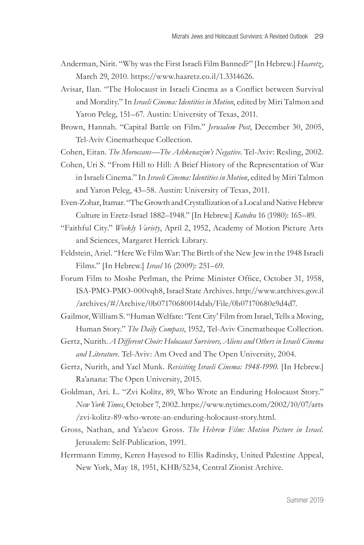- Anderman, Nirit. "Why was the First Israeli Film Banned?" [In Hebrew.] *Haaretz*, March 29, 2010. https://www.haaretz.co.il/1.3314626.
- Avisar, Ilan. "The Holocaust in Israeli Cinema as a Conflict between Survival and Morality." In *Israeli Cinema: Identities in Motion*, edited by Miri Talmon and Yaron Peleg, 151–67. Austin: University of Texas, 2011.
- Brown, Hannah. "Capital Battle on Film." *Jerusalem Post*, December 30, 2005, Tel-Aviv Cinematheque Collection.
- Cohen, Eitan. *The Moroccans—The Ashkenazim's Negative.* Tel-Aviv: Resling, 2002.
- Cohen, Uri S. "From Hill to Hill: A Brief History of the Representation of War in Israeli Cinema." In *Israeli Cinema: Identities in Motion*, edited by Miri Talmon and Yaron Peleg, 43–58. Austin: University of Texas, 2011.
- Even-Zohar, Itamar. "The Growth and Crystallization of a Local and Native Hebrew Culture in Eretz-Israel 1882–1948." [In Hebrew.] *Katedra* 16 (1980): 165–89.
- "Faithful City." *Weekly Variety*, April 2, 1952, Academy of Motion Picture Arts and Sciences, Margaret Herrick Library.
- Feldstein, Ariel. "Here We Film War: The Birth of the New Jew in the 1948 Israeli Films." [In Hebrew.] *Israel* 16 (2009): 251–69.
- Forum Film to Moshe Perlman, the Prime Minister Office, October 31, 1958, ISA-PMO-PMO-000vqh8, Israel State Archives. http://www.archives.gov.il /archives/#/Archive/0b07170680014dab/File/0b07170680e9d4d7.
- Gailmor, William S. "Human Welfare: 'Tent City' Film from Israel, Tells a Moving, Human Story." *The Daily Compass*, 1952, Tel-Aviv Cinematheque Collection.
- Gertz, Nurith. *A Different Choir: Holocaust Survivors, Aliens and Others in Israeli Cinema and Literature.* Tel-Aviv: Am Oved and The Open University, 2004.
- Gertz, Nurith, and Yael Munk. *Revisiting Israeli Cinema: 1948-1990.* [In Hebrew.] Ra'anana: The Open University, 2015.
- Goldman, Ari. L. "Zvi Kolitz, 89, Who Wrote an Enduring Holocaust Story." *New York Times*, October 7, 2002. https://www.nytimes.com/2002/10/07/arts /zvi-kolitz-89-who-wrote-an-enduring-holocaust-story.html.
- Gross, Nathan, and Ya'acov Gross. *The Hebrew Film: Motion Picture in Israel.* Jerusalem: Self-Publication, 1991.
- Herrmann Emmy, Keren Hayesod to Ellis Radinsky, United Palestine Appeal, New York, May 18, 1951, KHB/5234, Central Zionist Archive.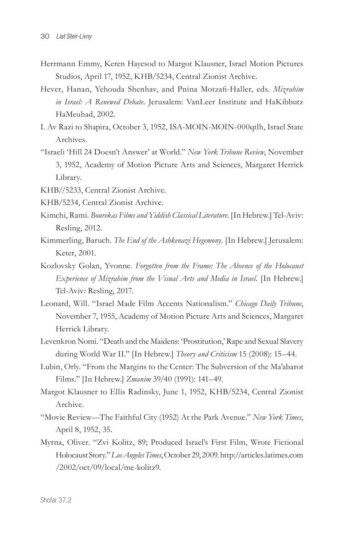- Herrmann Emmy, Keren Hayesod to Margot Klausner, Israel Motion Pictures Studios, April 17, 1952, KHB/5234, Central Zionist Archive.
- Hever, Hanan, Yehouda Shenhav, and Pnina Motzafi-Haller, eds. *Mizrahim in Israel: A Renewed Debate.* Jerusalem: VanLeer Institute and HaKibbutz HaMeuhad, 2002.
- I. Av Razi to Shapira, October 3, 1952, ISA-MOIN-MOIN-000qtlh, Israel State Archives.
- "Israeli 'Hill 24 Doesn't Answer' at World." *New York Tribune Review*, November 3, 1952, Academy of Motion Picture Arts and Sciences, Margaret Herrick Library.
- KHB//5233, Central Zionist Archive.
- KHB/5234, Central Zionist Archive.
- Kimchi, Rami. *Bourekas Films and Yiddish Classical Literature*. [In Hebrew.] Tel-Aviv: Resling, 2012.
- Kimmerling, Baruch. *The End of the Ashkenazi Hegemony.* [In Hebrew.] Jerusalem: Keter, 2001.
- Kozlovsky Golan, Yvonne. *Forgotten from the Frame: The Absence of the Holocaust Experience of Mizrahim from the Visual Arts and Media in Israel.* [In Hebrew.] Tel-Aviv: Resling, 2017.
- Leonard, Will. "Israel Made Film Accents Nationalism." *Chicago Daily Tribune*, November 7, 1955, Academy of Motion Picture Arts and Sciences, Margaret Herrick Library.
- Levenkron Nomi. "Death and the Maidens: 'Prostitution,' Rape and Sexual Slavery during World War II." [In Hebrew.] *Theory and Criticism* 15 (2008): 15–44.
- Lubin, Orly. "From the Margins to the Center: The Subversion of the Ma'abarot Films." [In Hebrew.] *Zmanim* 39/40 (1991): 141–49.
- Margot Klausner to Ellis Radinsky, June 1, 1952, KHB/5234, Central Zionist Archive.
- "Movie Review—The Faithful City (1952) At the Park Avenue." *New York Times*, April 8, 1952, 35.
- Myrna, Oliver. "Zvi Kolitz, 89; Produced Israel's First Film, Wrote Fictional Holocaust Story." *Los Angeles Times*, October 29, 2009. http://articles.latimes.com /2002/oct/09/local/me-kolitz9.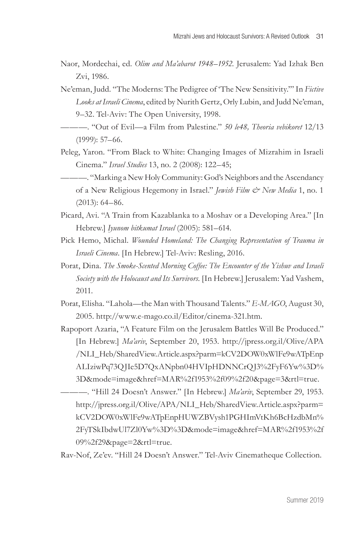- Naor, Mordechai, ed. *Olim and Ma'abarot 1948–1952.* Jerusalem: Yad Izhak Ben Zvi, 1986.
- Ne'eman, Judd. "The Moderns: The Pedigree of 'The New Sensitivity.'" In *Fictive Looks at Israeli Cinema*, edited by Nurith Gertz, Orly Lubin, and Judd Ne'eman, 9–32. Tel-Aviv: The Open University, 1998.
- ———. "Out of Evil—a Film from Palestine." *50 le48, Theoria vebikoret* 12/13 (1999): 57–66.
- Peleg, Yaron. "From Black to White: Changing Images of Mizrahim in Israeli Cinema." *Israel Studies* 13, no. 2 (2008): 122–45;
	- ———. "Marking a New Holy Community: God's Neighbors and the Ascendancy of a New Religious Hegemony in Israel." *Jewish Film & New Media* 1, no. 1 (2013): 64–86.
- Picard, Avi. "A Train from Kazablanka to a Moshav or a Developing Area." [In Hebrew.] *Iyunom bitkumat Israel* (2005): 581–614.
- Pick Hemo, Michal. *Wounded Homeland: The Changing Representation of Trauma in Israeli Cinema*. [In Hebrew.] Tel-Aviv: Resling, 2016.
- Porat, Dina. *The Smoke-Scented Morning Coffee: The Encounter of the Yishuv and Israeli Society with the Holocaust and Its Survivors.* [In Hebrew.] Jerusalem: Yad Vashem, 2011.
- Porat, Elisha. "Lahola—the Man with Thousand Talents." *E-MAGO*, August 30, 2005. http://www.e-mago.co.il/Editor/cinema-321.htm.
- Rapoport Azaria, "A Feature Film on the Jerusalem Battles Will Be Produced." [In Hebrew.] *Ma'ariv*, September 20, 1953. http://jpress.org.il/Olive/APA /NLI\_Heb/SharedView.Article.aspx?parm=kCV2DOW0xWlFe9wATpEnp ALIziwPq73QJIe5D7QxANpbn04HVIpHDNNCrQJ3%2FyF6Yw%3D% 3D&mode=image&href=MAR%2f1953%2f09%2f20&page=3&rtl=true.
	- ———. "Hill 24 Doesn't Answer." [In Hebrew.] *Ma'ariv*, September 29, 1953. http://jpress.org.il/Olive/APA/NLI\_Heb/SharedView.Article.aspx?parm= kCV2DOW0xWlFe9wATpEnpHUWZBVysh1PGHImVtKh6BcHzdbMn% 2FyTSkIbdwUl7Zl0Yw%3D%3D&mode=image&href=MAR%2f1953%2f 09%2f29&page=2&rtl=true.

Rav-Nof, Ze'ev. "Hill 24 Doesn't Answer." Tel-Aviv Cinematheque Collection.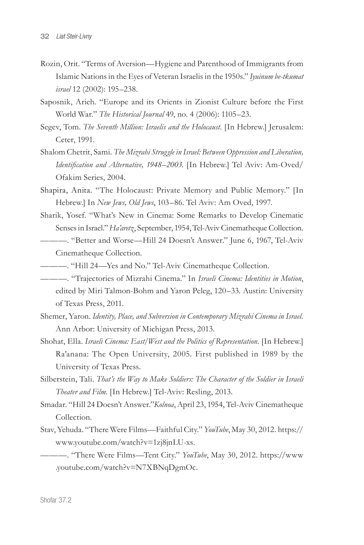- Rozin, Orit. "Terms of Aversion—Hygiene and Parenthood of Immigrants from Islamic Nations in the Eyes of Veteran Israelis in the 1950s." *Iyuinum be-tkumat israel* 12 (2002): 195–238.
- Saposnik, Arieh. "Europe and its Orients in Zionist Culture before the First World War." *The Historical Journal* 49, no. 4 (2006): 1105–23.
- Segev, Tom. *The Seventh Million: Israelis and the Holocaust*. [In Hebrew.] Jerusalem: Ceter, 1991.
- Shalom Chetrit, Sami. *The Mizrahi Struggle in Israel: Between Oppression and Liberation, Identification and Alternative, 1948–2003.* [In Hebrew.] Tel Aviv: Am-Oved/ Ofakim Series, 2004.
- Shapira, Anita. "The Holocaust: Private Memory and Public Memory." [In Hebrew.] In *New Jews, Old Jews*, 103–86. Tel Aviv: Am Oved, 1997.
- Sharik, Yosef. "What's New in Cinema: Some Remarks to Develop Cinematic Senses in Israel." *Ha'aretz*, September, 1954, Tel-Aviv Cinematheque Collection. ———. "Better and Worse—Hill 24 Doesn't Answer." June 6, 1967, Tel-Aviv Cinematheque Collection.
- ———. "Hill 24—Yes and No." Tel-Aviv Cinematheque Collection.
	- ———. "Trajectories of Mizrahi Cinema." In *Israeli Cinema: Identities in Motion*, edited by Miri Talmon-Bohm and Yaron Peleg, 120–33. Austin: University of Texas Press, 2011.
- Shemer, Yaron. *Identity, Place, and Subversion in Contemporary Mizrahi Cinema in Israel.*  Ann Arbor: University of Michigan Press, 2013.
- Shohat, Ella. *Israeli Cinema: East/West and the Politics of Representation*. [In Hebrew.] Ra'anana: The Open University, 2005. First published in 1989 by the University of Texas Press.
- Silberstein, Tali. *That's the Way to Make Soldiers: The Character of the Soldier in Israeli Theater and Film*. [In Hebrew.] Tel-Aviv: Resling, 2013.
- Smadar. "Hill 24 Doesn't Answer."*Kolnoa*, April 23, 1954, Tel-Aviv Cinematheque Collection.
- Stav, Yehuda. "There Were Films—Faithful City." *YouTube*, May 30, 2012. https:// www.youtube.com/watch?v=1zj8jnLU-xs.
- ———. "There Were Films—Tent City." *YouTube*, May 30, 2012. https://www .youtube.com/watch?v=N7XBNqDgmOc.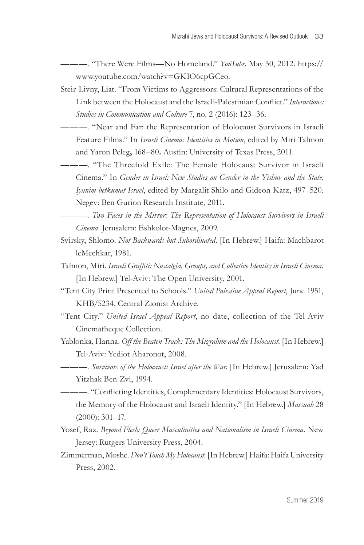———. "There Were Films—No Homeland." *YouTube.* May 30, 2012. https:// www.youtube.com/watch?v=GKIO6cpGCeo.

- Steir-Livny, Liat. "From Victims to Aggressors: Cultural Representations of the Link between the Holocaust and the Israeli-Palestinian Conflict." *Interactions: Studies in Communication and Culture* 7, no. 2 (2016): 123–36.
	- ———. "Near and Far: the Representation of Holocaust Survivors in Israeli Feature Films." In *Israeli Cinema: Identities in Motion*, edited by Miri Talmon and Yaron Peleg**,** 168–80**.** Austin: University of Texas Press, 2011.

———. "The Threefold Exile: The Female Holocaust Survivor in Israeli Cinema." In *Gender in Israel: New Studies on Gender in the Yishuv and the State*, *Iyunim betkumat Israel*, edited by Margalit Shilo and Gideon Katz, 497–520. Negev: Ben Gurion Research Institute, 2011.

- ———. *Two Faces in the Mirror: The Representation of Holocaust Survivors in Israeli Cinema.* Jerusalem: Eshkolot-Magnes, 2009.
- Svirsky, Shlomo. *Not Backwards but Subordinated*. [In Hebrew.] Haifa: Machbarot leMechkar, 1981.
- Talmon, Miri*. Israeli Graffiti: Nostalgia, Groups, and Collective Identity in Israeli Cinema*. [In Hebrew.] Tel-Aviv: The Open University, 2001.
- "Tent City Print Presented to Schools." *United Palestine Appeal Report*, June 1951, KHB/5234, Central Zionist Archive.
- "Tent City." *United Israel Appeal Report*, no date, collection of the Tel-Aviv Cinematheque Collection.
- Yablonka, Hanna. *Off the Beaten Track: The Mizrahim and the Holocaust*. [In Hebrew.] Tel-Aviv: Yediot Aharonot, 2008.
- ———. *Survivors of the Holocaust: Israel after the War.* [In Hebrew.] Jerusalem: Yad Yitzhak Ben-Zvi, 1994.
	- -- . "Conflicting Identities, Complementary Identities: Holocaust Survivors, the Memory of the Holocaust and Israeli Identity." [In Hebrew.] *Massuah* 28 (2000): 301–17.
- Yosef, Raz. *Beyond Flesh: Queer Masculinities and Nationalism in Israeli Cinema.* New Jersey: Rutgers University Press, 2004.
- Zimmerman, Moshe. *Don't Touch My Holocaust*. [In Hebrew.] Haifa: Haifa University Press, 2002.